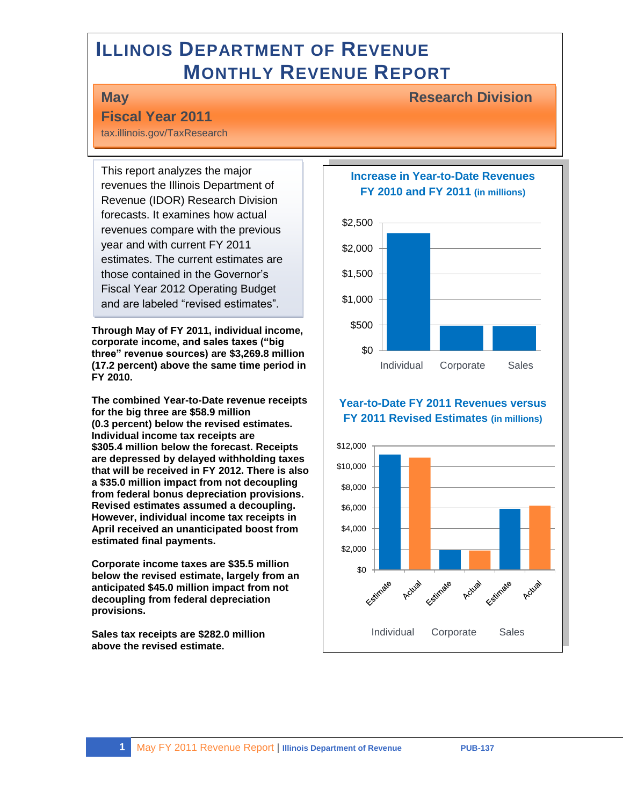# **ILLINOIS DEPARTMENT OF REVENUE MONTHLY REVENUE REPORT**

#### **May Research Division**

### **Fiscal Year 2011**

tax.illinois.gov/TaxResearch

This report analyzes the major revenues the Illinois Department of Revenue (IDOR) Research Division forecasts. It examines how actual revenues compare with the previous year and with current FY 2011 estimates. The current estimates are those contained in the Governor's Fiscal Year 2012 Operating Budget and are labeled "revised estimates".

**Through May of FY 2011, individual income, corporate income, and sales taxes ("big three" revenue sources) are \$3,269.8 million (17.2 percent) above the same time period in FY 2010.** 

**The combined Year-to-Date revenue receipts for the big three are \$58.9 million (0.3 percent) below the revised estimates. Individual income tax receipts are \$305.4 million below the forecast. Receipts are depressed by delayed withholding taxes that will be received in FY 2012. There is also a \$35.0 million impact from not decoupling from federal bonus depreciation provisions. Revised estimates assumed a decoupling. However, individual income tax receipts in April received an unanticipated boost from estimated final payments.**

**Corporate income taxes are \$35.5 million below the revised estimate, largely from an anticipated \$45.0 million impact from not decoupling from federal depreciation provisions.**

**Sales tax receipts are \$282.0 million above the revised estimate.**

**Increase in Year-to-Date Revenues FY 2010 and FY 2011 (in millions)**



#### **Year-to-Date FY 2011 Revenues versus FY 2011 Revised Estimates (in millions)**

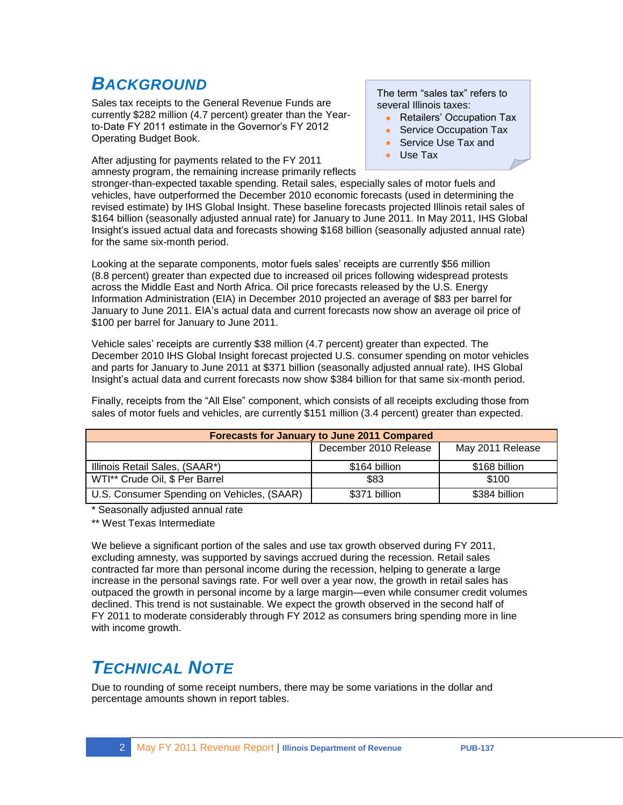## *BACKGROUND*

Sales tax receipts to the General Revenue Funds are currently \$282 million (4.7 percent) greater than the Yearto-Date FY 2011 estimate in the Governor's FY 2012 Operating Budget Book.

After adjusting for payments related to the FY 2011 amnesty program, the remaining increase primarily reflects The term "sales tax" refers to several Illinois taxes:

- Retailers' Occupation Tax
- Service Occupation Tax
- Service Use Tax and
- Use Tax

stronger-than-expected taxable spending. Retail sales, especially sales of motor fuels and vehicles, have outperformed the December 2010 economic forecasts (used in determining the revised estimate) by IHS Global Insight. These baseline forecasts projected Illinois retail sales of \$164 billion (seasonally adjusted annual rate) for January to June 2011. In May 2011, IHS Global Insight's issued actual data and forecasts showing \$168 billion (seasonally adjusted annual rate) for the same six-month period.

Looking at the separate components, motor fuels sales' receipts are currently \$56 million (8.8 percent) greater than expected due to increased oil prices following widespread protests across the Middle East and North Africa. Oil price forecasts released by the U.S. Energy Information Administration (EIA) in December 2010 projected an average of \$83 per barrel for January to June 2011. EIA's actual data and current forecasts now show an average oil price of \$100 per barrel for January to June 2011.

Vehicle sales' receipts are currently \$38 million (4.7 percent) greater than expected. The December 2010 IHS Global Insight forecast projected U.S. consumer spending on motor vehicles and parts for January to June 2011 at \$371 billion (seasonally adjusted annual rate). IHS Global Insight's actual data and current forecasts now show \$384 billion for that same six-month period.

Finally, receipts from the "All Else" component, which consists of all receipts excluding those from sales of motor fuels and vehicles, are currently \$151 million (3.4 percent) greater than expected.

| <b>Forecasts for January to June 2011 Compared</b> |               |               |  |  |  |
|----------------------------------------------------|---------------|---------------|--|--|--|
| December 2010 Release<br>May 2011 Release          |               |               |  |  |  |
| Illinois Retail Sales, (SAAR*)                     | \$164 billion | \$168 billion |  |  |  |
| WTI** Crude Oil, \$ Per Barrel                     | \$83          | \$100         |  |  |  |
| U.S. Consumer Spending on Vehicles, (SAAR)         | \$371 billion | \$384 billion |  |  |  |

\* Seasonally adjusted annual rate

\*\* West Texas Intermediate

We believe a significant portion of the sales and use tax growth observed during FY 2011, excluding amnesty, was supported by savings accrued during the recession. Retail sales contracted far more than personal income during the recession, helping to generate a large increase in the personal savings rate. For well over a year now, the growth in retail sales has outpaced the growth in personal income by a large margin—even while consumer credit volumes declined. This trend is not sustainable. We expect the growth observed in the second half of FY 2011 to moderate considerably through FY 2012 as consumers bring spending more in line with income growth.

## *TECHNICAL NOTE*

Due to rounding of some receipt numbers, there may be some variations in the dollar and percentage amounts shown in report tables.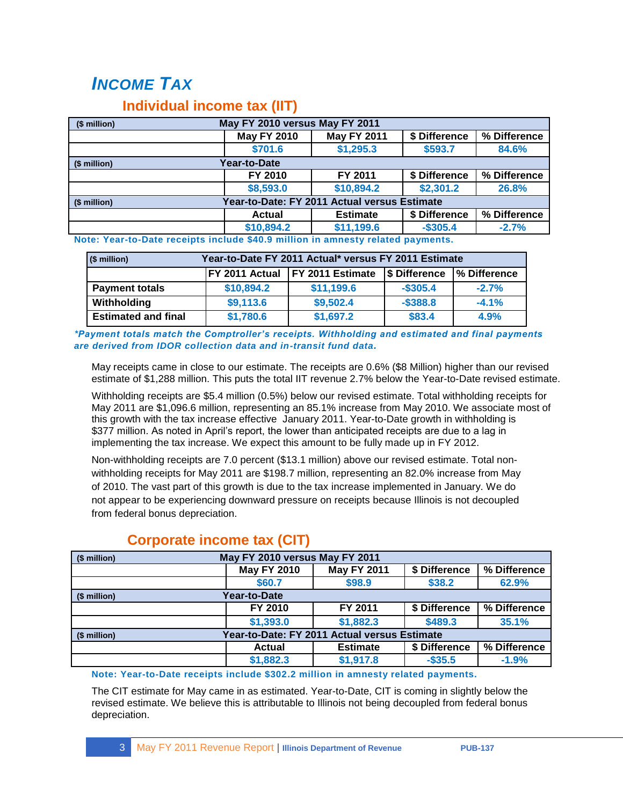# *INCOME TAX*

### **Individual income tax (IIT)**

| (\$ million) | May FY 2010 versus May FY 2011               |                    |               |              |  |
|--------------|----------------------------------------------|--------------------|---------------|--------------|--|
|              | <b>May FY 2010</b>                           | <b>May FY 2011</b> | \$ Difference | % Difference |  |
|              | \$701.6                                      | \$1,295.3          | \$593.7       | 84.6%        |  |
| (\$ million) | Year-to-Date                                 |                    |               |              |  |
|              | FY 2010                                      | FY 2011            | \$ Difference | % Difference |  |
|              | \$8,593.0                                    | \$10,894.2         | \$2,301.2     | 26.8%        |  |
| (\$ million) | Year-to-Date: FY 2011 Actual versus Estimate |                    |               |              |  |
|              | <b>Actual</b>                                | <b>Estimate</b>    | \$ Difference | % Difference |  |
|              | \$10,894.2                                   | \$11,199.6         | $-$ \$305.4   | $-2.7%$      |  |

**Note: Year-to-Date receipts include \$40.9 million in amnesty related payments.**

| $(S$ million)              | Year-to-Date FY 2011 Actual* versus FY 2011 Estimate                              |            |             |         |  |  |  |
|----------------------------|-----------------------------------------------------------------------------------|------------|-------------|---------|--|--|--|
|                            | <b>FY 2011 Estimate</b><br>IFY 2011 Actual<br>% Difference<br><b>S</b> Difference |            |             |         |  |  |  |
| <b>Payment totals</b>      | \$10,894.2                                                                        | \$11,199.6 | $-$ \$305.4 | $-2.7%$ |  |  |  |
| Withholding                | \$9,113.6                                                                         | \$9,502.4  | $-$ \$388.8 | $-4.1%$ |  |  |  |
| <b>Estimated and final</b> | \$1,780.6                                                                         | \$1,697.2  | \$83.4      | 4.9%    |  |  |  |

*\*Payment totals match the Comptroller's receipts. Withholding and estimated and final payments are derived from IDOR collection data and in-transit fund data.*

May receipts came in close to our estimate. The receipts are 0.6% (\$8 Million) higher than our revised estimate of \$1,288 million. This puts the total IIT revenue 2.7% below the Year-to-Date revised estimate.

Withholding receipts are \$5.4 million (0.5%) below our revised estimate. Total withholding receipts for May 2011 are \$1,096.6 million, representing an 85.1% increase from May 2010. We associate most of this growth with the tax increase effective January 2011. Year-to-Date growth in withholding is \$377 million. As noted in April's report, the lower than anticipated receipts are due to a lag in implementing the tax increase. We expect this amount to be fully made up in FY 2012.

Non-withholding receipts are 7.0 percent (\$13.1 million) above our revised estimate. Total nonwithholding receipts for May 2011 are \$198.7 million, representing an 82.0% increase from May of 2010. The vast part of this growth is due to the tax increase implemented in January. We do not appear to be experiencing downward pressure on receipts because Illinois is not decoupled from federal bonus depreciation.

| May FY 2010 versus May FY 2011<br>(\$ million) |                    |                                              |               |              |
|------------------------------------------------|--------------------|----------------------------------------------|---------------|--------------|
|                                                | <b>May FY 2010</b> | <b>May FY 2011</b>                           | \$ Difference | % Difference |
|                                                | \$60.7             | \$98.9                                       | \$38.2        | 62.9%        |
| Year-to-Date<br>(\$ million)                   |                    |                                              |               |              |
|                                                | FY 2010            | FY 2011                                      | \$ Difference | % Difference |
|                                                | \$1,393.0          | \$1,882.3                                    | \$489.3       | 35.1%        |
| (\$ million)                                   |                    | Year-to-Date: FY 2011 Actual versus Estimate |               |              |
|                                                | Actual             | <b>Estimate</b>                              | \$ Difference | % Difference |
|                                                | \$1,882.3          | \$1,917.8                                    | $-$ \$35.5    | $-1.9%$      |

### **Corporate income tax (CIT)**

#### **Note: Year-to-Date receipts include \$302.2 million in amnesty related payments.**

The CIT estimate for May came in as estimated. Year-to-Date, CIT is coming in slightly below the revised estimate. We believe this is attributable to Illinois not being decoupled from federal bonus depreciation.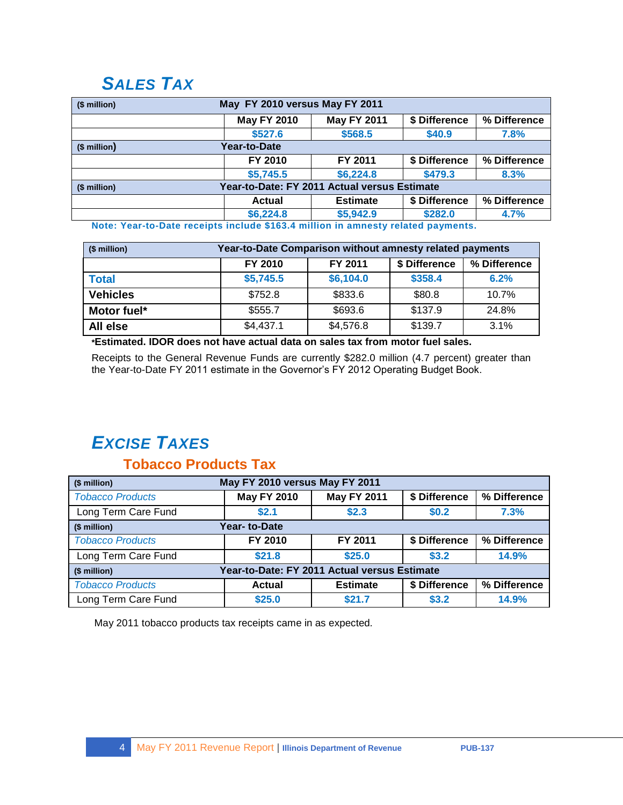## *SALES TAX*

| May FY 2010 versus May FY 2011<br>(\$ million) |                                                                   |                    |               |              |  |  |
|------------------------------------------------|-------------------------------------------------------------------|--------------------|---------------|--------------|--|--|
|                                                | <b>May FY 2010</b>                                                | <b>May FY 2011</b> | \$ Difference | % Difference |  |  |
|                                                | \$527.6                                                           | \$568.5            | \$40.9        | 7.8%         |  |  |
| $($$ million $)$                               | <b>Year-to-Date</b>                                               |                    |               |              |  |  |
|                                                | FY 2010                                                           | FY 2011            | \$ Difference | % Difference |  |  |
|                                                | \$5,745.5                                                         | \$6,224.8          | \$479.3       | 8.3%         |  |  |
| (\$ million)                                   | Year-to-Date: FY 2011 Actual versus Estimate                      |                    |               |              |  |  |
|                                                | % Difference<br>\$ Difference<br><b>Estimate</b><br><b>Actual</b> |                    |               |              |  |  |
|                                                | \$6,224.8                                                         | \$5,942.9          | \$282.0       | 4.7%         |  |  |

**Note: Year-to-Date receipts include \$163.4 million in amnesty related payments.**

| (\$ million)    | Year-to-Date Comparison without amnesty related payments |           |         |       |  |  |  |
|-----------------|----------------------------------------------------------|-----------|---------|-------|--|--|--|
|                 | \$ Difference<br>% Difference<br>FY 2010<br>FY 2011      |           |         |       |  |  |  |
| <b>Total</b>    | \$5,745.5                                                | \$6,104.0 | \$358.4 | 6.2%  |  |  |  |
| <b>Vehicles</b> | \$752.8                                                  | \$833.6   | \$80.8  | 10.7% |  |  |  |
| Motor fuel*     | \$555.7                                                  | \$693.6   | \$137.9 | 24.8% |  |  |  |
| All else        | \$4,437.1                                                | \$4,576.8 | \$139.7 | 3.1%  |  |  |  |

**\*Estimated. IDOR does not have actual data on sales tax from motor fuel sales.**

Receipts to the General Revenue Funds are currently \$282.0 million (4.7 percent) greater than the Year-to-Date FY 2011 estimate in the Governor's FY 2012 Operating Budget Book.

# *EXCISE TAXES*

### **Tobacco Products Tax**

| May FY 2010 versus May FY 2011<br>(\$ million)               |                    |                    |               |              |
|--------------------------------------------------------------|--------------------|--------------------|---------------|--------------|
| <b>Tobacco Products</b>                                      | <b>May FY 2010</b> | <b>May FY 2011</b> | \$ Difference | % Difference |
| Long Term Care Fund                                          | \$2.1              | \$2.3              | \$0.2         | 7.3%         |
| Year- to-Date<br>(\$ million)                                |                    |                    |               |              |
| <b>Tobacco Products</b>                                      | FY 2010            | FY 2011            | \$ Difference | % Difference |
| Long Term Care Fund                                          | \$21.8             | \$25.0             | \$3.2         | 14.9%        |
| Year-to-Date: FY 2011 Actual versus Estimate<br>(\$ million) |                    |                    |               |              |
| <b>Tobacco Products</b>                                      | Actual             | <b>Estimate</b>    | \$ Difference | % Difference |
| Long Term Care Fund                                          | \$25.0             | \$21.7             | \$3.2         | 14.9%        |

May 2011 tobacco products tax receipts came in as expected*.*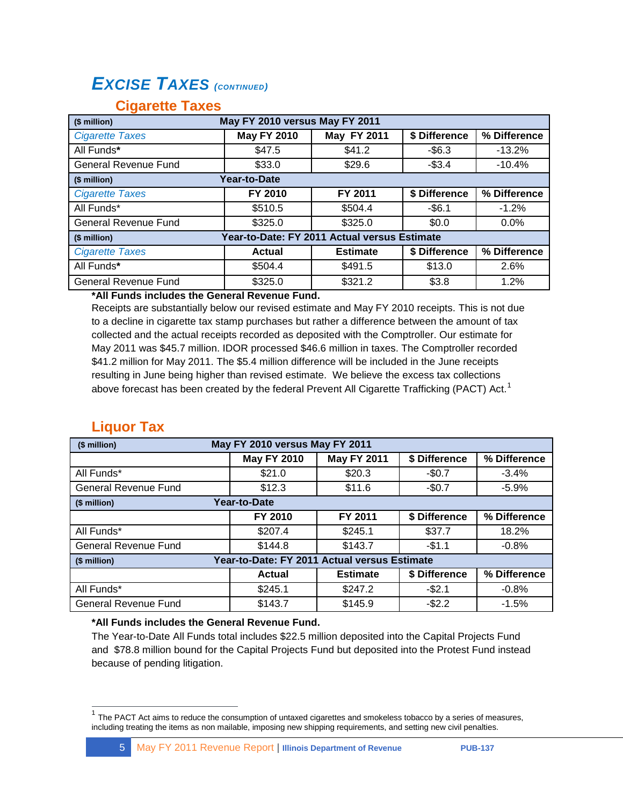## *EXCISE TAXES (CONTINUED)*

| May FY 2010 versus May FY 2011<br>(\$ million) |                    |                                              |               |              |  |
|------------------------------------------------|--------------------|----------------------------------------------|---------------|--------------|--|
| <b>Cigarette Taxes</b>                         | <b>May FY 2010</b> | May FY 2011                                  | \$ Difference | % Difference |  |
| All Funds*                                     | \$47.5             | \$41.2                                       | $-$ \$6.3     | $-13.2%$     |  |
| <b>General Revenue Fund</b>                    | \$33.0             | \$29.6                                       | $-$3.4$       | $-10.4%$     |  |
| (\$ million)                                   | Year-to-Date       |                                              |               |              |  |
| <b>Cigarette Taxes</b>                         | FY 2010            | FY 2011                                      | \$ Difference | % Difference |  |
| All Funds*                                     | \$510.5            | \$504.4                                      | $-$6.1$       | $-1.2%$      |  |
| <b>General Revenue Fund</b>                    | \$325.0            | \$325.0                                      | \$0.0         | $0.0\%$      |  |
| (\$ million)                                   |                    | Year-to-Date: FY 2011 Actual versus Estimate |               |              |  |
| <b>Cigarette Taxes</b>                         | <b>Actual</b>      | <b>Estimate</b>                              | \$ Difference | % Difference |  |
| All Funds*                                     | \$504.4            | \$491.5                                      | \$13.0        | 2.6%         |  |
| <b>General Revenue Fund</b>                    | \$325.0            | \$321.2                                      | \$3.8         | 1.2%         |  |

#### **Cigarette Taxes**

#### **\*All Funds includes the General Revenue Fund.**

Receipts are substantially below our revised estimate and May FY 2010 receipts. This is not due to a decline in cigarette tax stamp purchases but rather a difference between the amount of tax collected and the actual receipts recorded as deposited with the Comptroller. Our estimate for May 2011 was \$45.7 million. IDOR processed \$46.6 million in taxes. The Comptroller recorded \$41.2 million for May 2011. The \$5.4 million difference will be included in the June receipts resulting in June being higher than revised estimate. We believe the excess tax collections above forecast has been created by the federal Prevent All Cigarette Trafficking (PACT) Act.<sup>1</sup>

### **Liquor Tax**

 $\overline{\phantom{a}}$ 

| (\$ million)                | May FY 2010 versus May FY 2011               |                    |               |              |  |
|-----------------------------|----------------------------------------------|--------------------|---------------|--------------|--|
|                             | <b>May FY 2010</b>                           | <b>May FY 2011</b> | \$ Difference | % Difference |  |
| All Funds*                  | \$21.0                                       | \$20.3             | $-$0.7$       | $-3.4%$      |  |
| <b>General Revenue Fund</b> | \$12.3                                       | \$11.6             | $-$0.7$       | $-5.9%$      |  |
| (\$ million)                | <b>Year-to-Date</b>                          |                    |               |              |  |
|                             | FY 2010                                      | FY 2011            | \$ Difference | % Difference |  |
| All Funds*                  | \$207.4                                      | \$245.1            | \$37.7        | 18.2%        |  |
| General Revenue Fund        | \$144.8                                      | \$143.7            | $-$1.1$       | $-0.8%$      |  |
| (\$ million)                | Year-to-Date: FY 2011 Actual versus Estimate |                    |               |              |  |
|                             | <b>Actual</b>                                | <b>Estimate</b>    | \$ Difference | % Difference |  |
| All Funds*                  | \$245.1                                      | \$247.2            | $-$2.1$       | $-0.8%$      |  |
| <b>General Revenue Fund</b> | \$143.7                                      | \$145.9            | $-$2.2$       | $-1.5%$      |  |

#### **\*All Funds includes the General Revenue Fund.**

The Year-to-Date All Funds total includes \$22.5 million deposited into the Capital Projects Fund and \$78.8 million bound for the Capital Projects Fund but deposited into the Protest Fund instead because of pending litigation.

 $1$  The PACT Act aims to reduce the consumption of untaxed cigarettes and smokeless tobacco by a series of measures, including treating the items as non mailable, imposing new shipping requirements, and setting new civil penalties.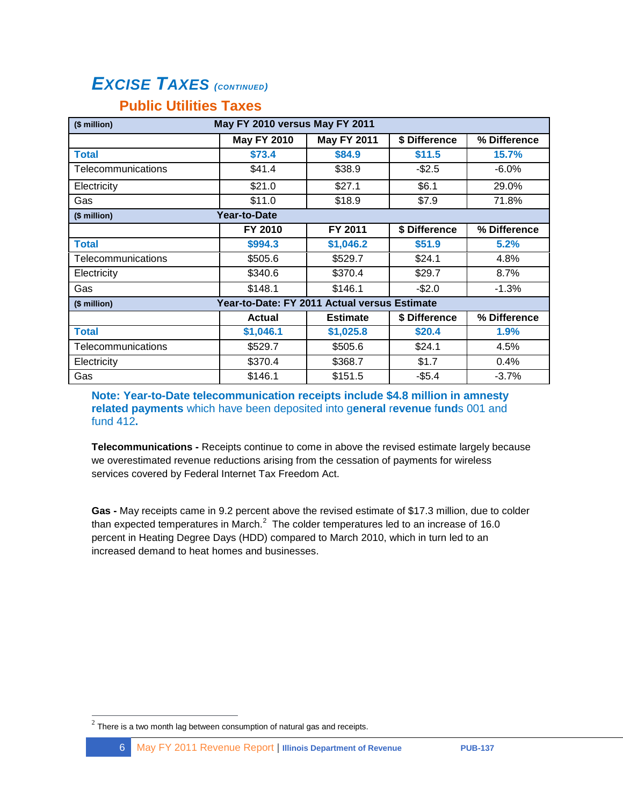## *EXCISE TAXES (CONTINUED)*

### **Public Utilities Taxes**

| May FY 2010 versus May FY 2011<br>(\$ million) |                                              |                    |               |              |
|------------------------------------------------|----------------------------------------------|--------------------|---------------|--------------|
|                                                | <b>May FY 2010</b>                           | <b>May FY 2011</b> | \$ Difference | % Difference |
| <b>Total</b>                                   | \$73.4                                       | \$84.9             | \$11.5        | 15.7%        |
| Telecommunications                             | \$41.4                                       | \$38.9             | $-$2.5$       | $-6.0%$      |
| Electricity                                    | \$21.0                                       | \$27.1             | \$6.1         | 29.0%        |
| Gas                                            | \$11.0                                       | \$18.9             | \$7.9         | 71.8%        |
| (\$ million)                                   | Year-to-Date                                 |                    |               |              |
|                                                | FY 2010                                      | FY 2011            | \$ Difference | % Difference |
| <b>Total</b>                                   | \$994.3                                      | \$1,046.2          | \$51.9        | 5.2%         |
| Telecommunications                             | \$505.6                                      | \$529.7            | \$24.1        | 4.8%         |
| Electricity                                    | \$340.6                                      | \$370.4            | \$29.7        | 8.7%         |
| Gas                                            | \$148.1                                      | \$146.1            | -\$2.0        | $-1.3%$      |
| (\$ million)                                   | Year-to-Date: FY 2011 Actual versus Estimate |                    |               |              |
|                                                | Actual                                       | <b>Estimate</b>    | \$ Difference | % Difference |
| <b>Total</b>                                   | \$1,046.1                                    | \$1,025.8          | \$20.4        | 1.9%         |
| Telecommunications                             | \$529.7                                      | \$505.6            | \$24.1        | 4.5%         |
| Electricity                                    | \$370.4                                      | \$368.7            | \$1.7         | 0.4%         |
| Gas                                            | \$146.1                                      | \$151.5            | $-$5.4$       | $-3.7%$      |

**Note: Year-to-Date telecommunication receipts include \$4.8 million in amnesty related payments** which have been deposited into g**eneral** r**evenue** f**und**s 001 and fund 412**.**

**Telecommunications -** Receipts continue to come in above the revised estimate largely because we overestimated revenue reductions arising from the cessation of payments for wireless services covered by Federal Internet Tax Freedom Act.

**Gas -** May receipts came in 9.2 percent above the revised estimate of \$17.3 million, due to colder than expected temperatures in March.<sup>2</sup> The colder temperatures led to an increase of 16.0 percent in Heating Degree Days (HDD) compared to March 2010, which in turn led to an increased demand to heat homes and businesses.

 $\overline{a}$ 

 $^{2}$  There is a two month lag between consumption of natural gas and receipts.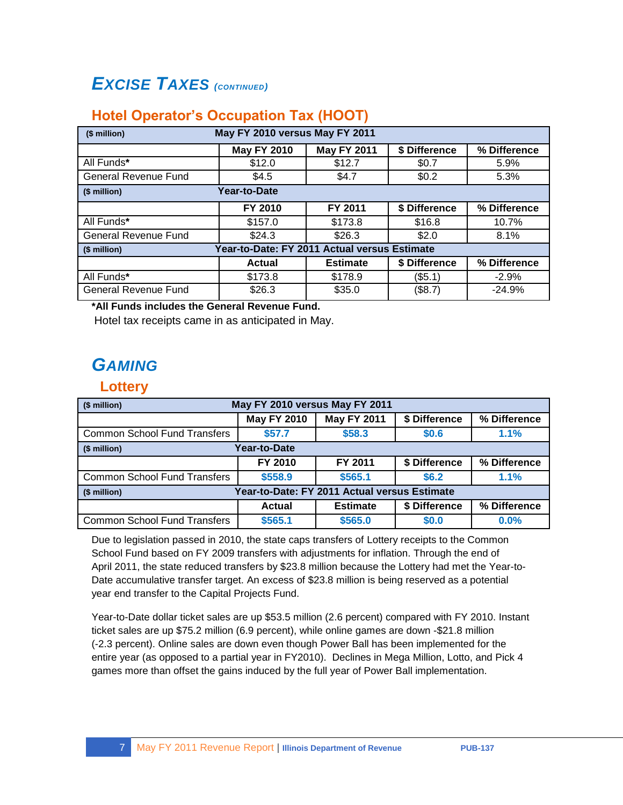## *EXCISE TAXES (CONTINUED)*

### **Hotel Operator's Occupation Tax (HOOT)**

| May FY 2010 versus May FY 2011<br>(\$ million) |                                              |                    |               |              |  |
|------------------------------------------------|----------------------------------------------|--------------------|---------------|--------------|--|
|                                                | <b>May FY 2010</b>                           | <b>May FY 2011</b> | \$ Difference | % Difference |  |
| All Funds*                                     | \$12.0                                       | \$12.7             | \$0.7         | 5.9%         |  |
| <b>General Revenue Fund</b>                    | \$4.5                                        | \$4.7              | \$0.2         | 5.3%         |  |
| (\$ million)                                   | <b>Year-to-Date</b>                          |                    |               |              |  |
|                                                | FY 2010                                      | FY 2011            | \$ Difference | % Difference |  |
| All Funds*                                     | \$157.0                                      | \$173.8            | \$16.8        | 10.7%        |  |
| <b>General Revenue Fund</b>                    | \$24.3                                       | \$26.3             | \$2.0         | 8.1%         |  |
| (\$ million)                                   | Year-to-Date: FY 2011 Actual versus Estimate |                    |               |              |  |
|                                                | <b>Actual</b>                                | <b>Estimate</b>    | \$ Difference | % Difference |  |
| All Funds*                                     | \$173.8                                      | \$178.9            | $($ \$5.1)    | $-2.9\%$     |  |
| <b>General Revenue Fund</b>                    | \$26.3                                       | \$35.0             | (\$8.7)       | $-24.9%$     |  |

**\*All Funds includes the General Revenue Fund.**

Hotel tax receipts came in as anticipated in May.

## *GAMING*

#### **Lottery**

| May FY 2010 versus May FY 2011<br>(\$ million)                            |         |         |               |              |  |  |
|---------------------------------------------------------------------------|---------|---------|---------------|--------------|--|--|
| <b>May FY 2011</b><br>\$ Difference<br><b>May FY 2010</b><br>% Difference |         |         |               |              |  |  |
| <b>Common School Fund Transfers</b>                                       | \$57.7  | \$58.3  | \$0.6         | 1.1%         |  |  |
| Year-to-Date<br>(\$ million)                                              |         |         |               |              |  |  |
|                                                                           | FY 2010 | FY 2011 | \$ Difference | % Difference |  |  |
| <b>Common School Fund Transfers</b>                                       | \$558.9 | \$565.1 | \$6.2         | 1.1%         |  |  |
| Year-to-Date: FY 2011 Actual versus Estimate<br>(\$ million)              |         |         |               |              |  |  |
| % Difference<br><b>Estimate</b><br>\$ Difference<br>Actual                |         |         |               |              |  |  |
| <b>Common School Fund Transfers</b>                                       | \$565.1 | \$565.0 | \$0.0         | 0.0%         |  |  |

Due to legislation passed in 2010, the state caps transfers of Lottery receipts to the Common School Fund based on FY 2009 transfers with adjustments for inflation. Through the end of April 2011, the state reduced transfers by \$23.8 million because the Lottery had met the Year-to-Date accumulative transfer target. An excess of \$23.8 million is being reserved as a potential year end transfer to the Capital Projects Fund.

Year-to-Date dollar ticket sales are up \$53.5 million (2.6 percent) compared with FY 2010. Instant ticket sales are up \$75.2 million (6.9 percent), while online games are down -\$21.8 million (-2.3 percent). Online sales are down even though Power Ball has been implemented for the entire year (as opposed to a partial year in FY2010). Declines in Mega Million, Lotto, and Pick 4 games more than offset the gains induced by the full year of Power Ball implementation.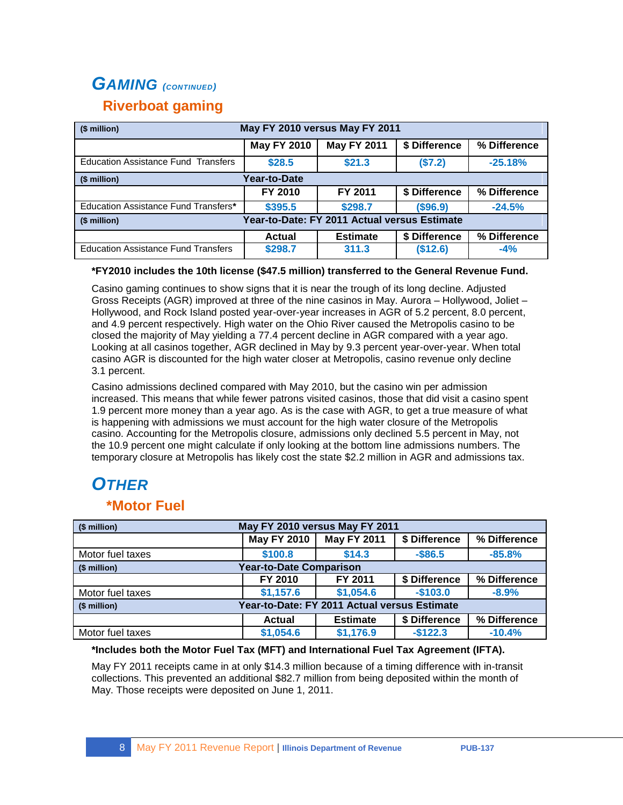## *GAMING (CONTINUED)* **Riverboat gaming**

| May FY 2010 versus May FY 2011<br>(\$ million)               |                    |                    |               |              |  |  |  |  |  |
|--------------------------------------------------------------|--------------------|--------------------|---------------|--------------|--|--|--|--|--|
|                                                              | <b>May FY 2010</b> | <b>May FY 2011</b> | \$ Difference | % Difference |  |  |  |  |  |
| <b>Education Assistance Fund Transfers</b>                   | \$28.5             | \$21.3             | (\$7.2)       | $-25.18%$    |  |  |  |  |  |
| (\$ million)                                                 | Year-to-Date       |                    |               |              |  |  |  |  |  |
|                                                              | FY 2010            | FY 2011            | \$ Difference | % Difference |  |  |  |  |  |
| Education Assistance Fund Transfers*                         | \$395.5            | \$298.7            | (\$96.9)      | $-24.5%$     |  |  |  |  |  |
| Year-to-Date: FY 2011 Actual versus Estimate<br>(\$ million) |                    |                    |               |              |  |  |  |  |  |
|                                                              | Actual             | <b>Estimate</b>    | \$ Difference | % Difference |  |  |  |  |  |
| <b>Education Assistance Fund Transfers</b>                   | \$298.7            | 311.3              | (\$12.6)      | $-4%$        |  |  |  |  |  |

#### **\*FY2010 includes the 10th license (\$47.5 million) transferred to the General Revenue Fund.**

Casino gaming continues to show signs that it is near the trough of its long decline. Adjusted Gross Receipts (AGR) improved at three of the nine casinos in May. Aurora – Hollywood, Joliet – Hollywood, and Rock Island posted year-over-year increases in AGR of 5.2 percent, 8.0 percent, and 4.9 percent respectively. High water on the Ohio River caused the Metropolis casino to be closed the majority of May yielding a 77.4 percent decline in AGR compared with a year ago. Looking at all casinos together, AGR declined in May by 9.3 percent year-over-year. When total casino AGR is discounted for the high water closer at Metropolis, casino revenue only decline 3.1 percent.

Casino admissions declined compared with May 2010, but the casino win per admission increased. This means that while fewer patrons visited casinos, those that did visit a casino spent 1.9 percent more money than a year ago. As is the case with AGR, to get a true measure of what is happening with admissions we must account for the high water closure of the Metropolis casino. Accounting for the Metropolis closure, admissions only declined 5.5 percent in May, not the 10.9 percent one might calculate if only looking at the bottom line admissions numbers. The temporary closure at Metropolis has likely cost the state \$2.2 million in AGR and admissions tax.

# *OTHER*

#### **\*Motor Fuel**

| (\$ million)     | May FY 2010 versus May FY 2011               |                    |               |              |  |  |  |  |  |
|------------------|----------------------------------------------|--------------------|---------------|--------------|--|--|--|--|--|
|                  | <b>May FY 2010</b>                           | <b>May FY 2011</b> | % Difference  |              |  |  |  |  |  |
| Motor fuel taxes | \$100.8                                      | $-85.8%$           |               |              |  |  |  |  |  |
| (\$ million)     | <b>Year-to-Date Comparison</b>               |                    |               |              |  |  |  |  |  |
|                  | FY 2010                                      | FY 2011            | \$ Difference | % Difference |  |  |  |  |  |
| Motor fuel taxes | \$1,157.6                                    | \$1,054.6          | $-$103.0$     | $-8.9%$      |  |  |  |  |  |
| (\$ million)     | Year-to-Date: FY 2011 Actual versus Estimate |                    |               |              |  |  |  |  |  |
|                  | Actual                                       | <b>Estimate</b>    | \$ Difference | % Difference |  |  |  |  |  |
| Motor fuel taxes | \$1,054.6                                    | \$1,176.9          | $-$122.3$     | $-10.4%$     |  |  |  |  |  |

#### **\*Includes both the Motor Fuel Tax (MFT) and International Fuel Tax Agreement (IFTA).**

May FY 2011 receipts came in at only \$14.3 million because of a timing difference with in-transit collections. This prevented an additional \$82.7 million from being deposited within the month of May. Those receipts were deposited on June 1, 2011.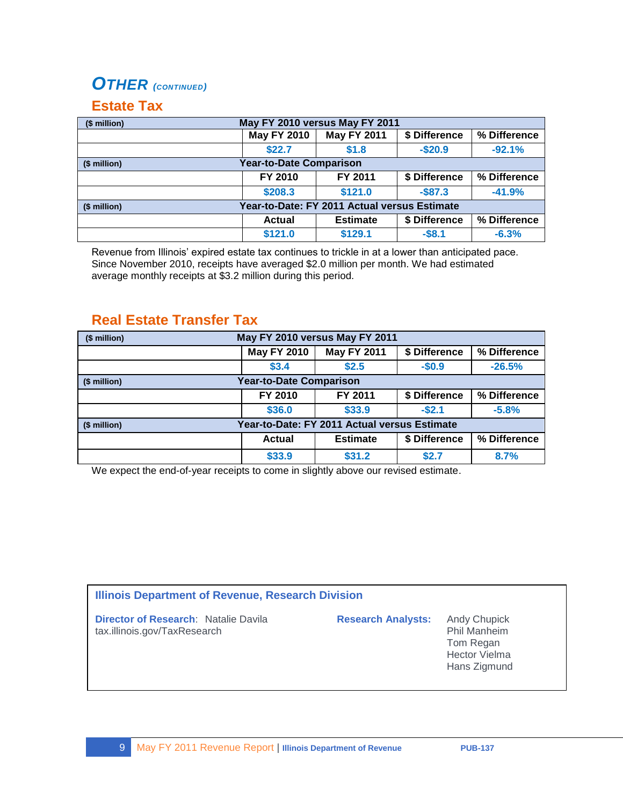## *OTHER (CONTINUED)*

#### **Estate Tax**

| May FY 2010 versus May FY 2011<br>(\$ million)               |                    |                 |               |              |  |  |  |  |  |
|--------------------------------------------------------------|--------------------|-----------------|---------------|--------------|--|--|--|--|--|
|                                                              | <b>May FY 2010</b> | % Difference    |               |              |  |  |  |  |  |
|                                                              | \$22.7             | \$1.8           | $-$20.9$      | $-92.1%$     |  |  |  |  |  |
| <b>Year-to-Date Comparison</b><br>(\$ million)               |                    |                 |               |              |  |  |  |  |  |
|                                                              | FY 2010            | FY 2011         | % Difference  |              |  |  |  |  |  |
|                                                              | \$208.3            | \$121.0         | $-$87.3$      | $-41.9%$     |  |  |  |  |  |
| Year-to-Date: FY 2011 Actual versus Estimate<br>(\$ million) |                    |                 |               |              |  |  |  |  |  |
|                                                              | <b>Actual</b>      | <b>Estimate</b> | \$ Difference | % Difference |  |  |  |  |  |
|                                                              | \$121.0            | \$129.1         | $-$8.1$       | $-6.3%$      |  |  |  |  |  |

Revenue from Illinois' expired estate tax continues to trickle in at a lower than anticipated pace. Since November 2010, receipts have averaged \$2.0 million per month. We had estimated average monthly receipts at \$3.2 million during this period.

### **Real Estate Transfer Tax**

| May FY 2010 versus May FY 2011<br>(\$ million)               |                    |                                  |           |              |  |  |  |  |  |
|--------------------------------------------------------------|--------------------|----------------------------------|-----------|--------------|--|--|--|--|--|
|                                                              | <b>May FY 2010</b> | % Difference                     |           |              |  |  |  |  |  |
|                                                              | \$3.4              | \$2.5                            | $-$0.9$   | $-26.5%$     |  |  |  |  |  |
| <b>Year-to-Date Comparison</b><br>(\$ million)               |                    |                                  |           |              |  |  |  |  |  |
|                                                              | FY 2010            | \$ Difference<br>FY 2011         |           |              |  |  |  |  |  |
|                                                              | \$36.0             | \$33.9                           | $-$ \$2.1 | $-5.8%$      |  |  |  |  |  |
| Year-to-Date: FY 2011 Actual versus Estimate<br>(\$ million) |                    |                                  |           |              |  |  |  |  |  |
|                                                              | <b>Actual</b>      | \$ Difference<br><b>Estimate</b> |           | % Difference |  |  |  |  |  |
|                                                              | \$33.9             | 8.7%                             |           |              |  |  |  |  |  |

We expect the end-of-year receipts to come in slightly above our revised estimate.

#### **Illinois Department of Revenue, Research Division**

**Director of Research: Natalie Davila <b>Research Analysts:** Andy Chupick tax.illinois.gov/TaxResearch **Phil Manheim** 

Tom Regan Hector Vielma Hans Zigmund